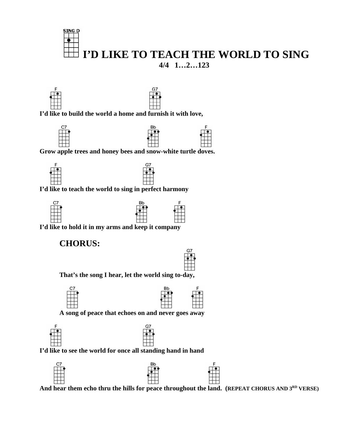





 **I'd like to build the world a home and furnish it with love,** 



 **Grow apple trees and honey bees and snow-white turtle doves.** 





 **I'd like to teach the world to sing in perfect harmony** 



 **I'd like to hold it in my arms and keep it company** 

## **CHORUS:**



 **That's the song I hear, let the world sing to-day,** 





 **A song of peace that echoes on and never goes away** 





 **I'd like to see the world for once all standing hand in hand** 





And hear them echo thru the hills for peace throughout the land. (REPEAT CHORUS AND 3<sup>RD</sup> VERSE)